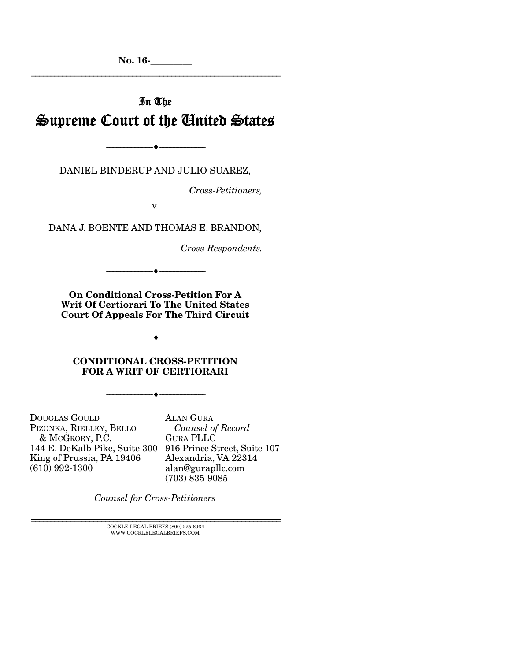No. 16-\_\_\_\_\_\_\_\_\_ ================================================================

# In The Supreme Court of the United States

DANIEL BINDERUP AND JULIO SUAREZ,

--------------------------------- ---------------------------------

*Cross-Petitioners,* 

v.

DANA J. BOENTE AND THOMAS E. BRANDON,

*Cross-Respondents.* 

On Conditional Cross-Petition For A Writ Of Certiorari To The United States Court Of Appeals For The Third Circuit

--------------------------------- ---------------------------------

CONDITIONAL CROSS-PETITION FOR A WRIT OF CERTIORARI

--------------------------------- ---------------------------------

--------------------------------- ---------------------------------

DOUGLAS GOULD PIZONKA, RIELLEY, BELLO & MCGRORY, P.C. 144 E. DeKalb Pike, Suite 300 916 Prince Street, Suite 107 King of Prussia, PA 19406  $(610)$  992-1300

ALAN GURA  *Counsel of Record* GURA PLLC Alexandria, VA 22314 alan@gurapllc.com (703) 835-9085

*Counsel for Cross-Petitioners* 

 ${\rm COCKLE}$ LEGAL BRIEFS (800) 225-6964 WWW.COCKLELEGALBRIEFS.COM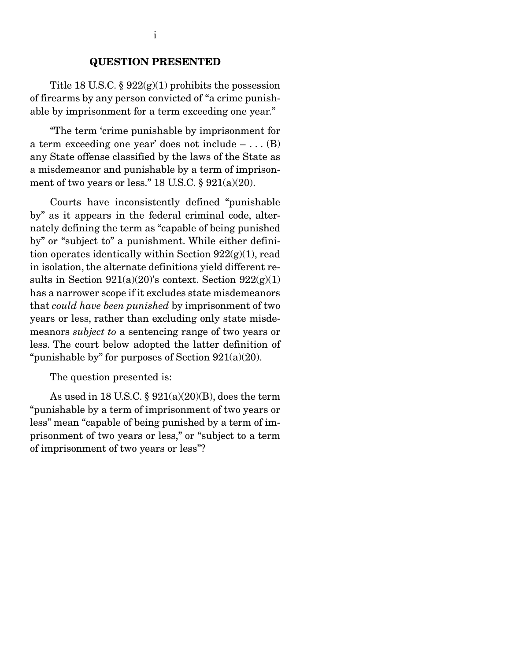#### QUESTION PRESENTED

Title 18 U.S.C.  $\S 922(g)(1)$  prohibits the possession of firearms by any person convicted of "a crime punishable by imprisonment for a term exceeding one year."

 "The term 'crime punishable by imprisonment for a term exceeding one year' does not include  $- \dots$  (B) any State offense classified by the laws of the State as a misdemeanor and punishable by a term of imprisonment of two years or less." 18 U.S.C.  $\S 921(a)(20)$ .

 Courts have inconsistently defined "punishable by" as it appears in the federal criminal code, alternately defining the term as "capable of being punished by" or "subject to" a punishment. While either definition operates identically within Section  $922(g)(1)$ , read in isolation, the alternate definitions yield different results in Section  $921(a)(20)$ 's context. Section  $922(g)(1)$ has a narrower scope if it excludes state misdemeanors that *could have been punished* by imprisonment of two years or less, rather than excluding only state misdemeanors *subject to* a sentencing range of two years or less. The court below adopted the latter definition of "punishable by" for purposes of Section 921(a)(20).

The question presented is:

As used in 18 U.S.C.  $\S 921(a)(20)(B)$ , does the term "punishable by a term of imprisonment of two years or less" mean "capable of being punished by a term of imprisonment of two years or less," or "subject to a term of imprisonment of two years or less"?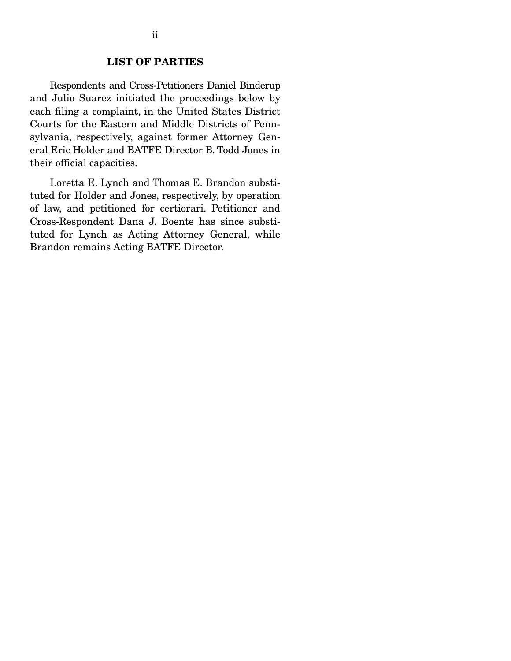Respondents and Cross-Petitioners Daniel Binderup and Julio Suarez initiated the proceedings below by each filing a complaint, in the United States District Courts for the Eastern and Middle Districts of Pennsylvania, respectively, against former Attorney General Eric Holder and BATFE Director B. Todd Jones in their official capacities.

 Loretta E. Lynch and Thomas E. Brandon substituted for Holder and Jones, respectively, by operation of law, and petitioned for certiorari. Petitioner and Cross-Respondent Dana J. Boente has since substituted for Lynch as Acting Attorney General, while Brandon remains Acting BATFE Director.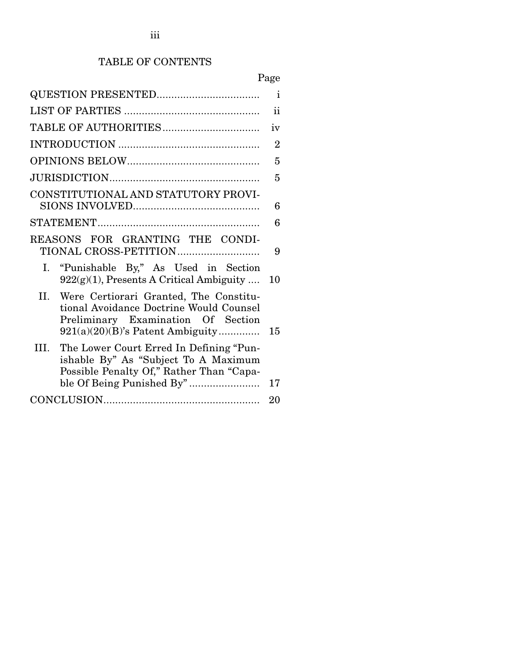# TABLE OF CONTENTS

|                                                                                                                                                                       | Page           |
|-----------------------------------------------------------------------------------------------------------------------------------------------------------------------|----------------|
|                                                                                                                                                                       | $\mathbf{i}$   |
|                                                                                                                                                                       | ii             |
|                                                                                                                                                                       | iv             |
|                                                                                                                                                                       | $\overline{2}$ |
|                                                                                                                                                                       | 5              |
|                                                                                                                                                                       | 5              |
| CONSTITUTIONAL AND STATUTORY PROVI-                                                                                                                                   | 6              |
|                                                                                                                                                                       | 6              |
| REASONS FOR GRANTING THE CONDI-                                                                                                                                       | 9              |
| "Punishable By," As Used in Section<br>Ι.<br>922(g)(1), Presents A Critical Ambiguity                                                                                 | 10             |
| II.<br>Were Certiorari Granted, The Constitu-<br>tional Avoidance Doctrine Would Counsel<br>Preliminary Examination Of Section<br>$921(a)(20)(B)$ 's Patent Ambiguity | 15             |
| The Lower Court Erred In Defining "Pun-<br>Ш.<br>ishable By" As "Subject To A Maximum<br>Possible Penalty Of," Rather Than "Capa-                                     | 17             |
|                                                                                                                                                                       | 20             |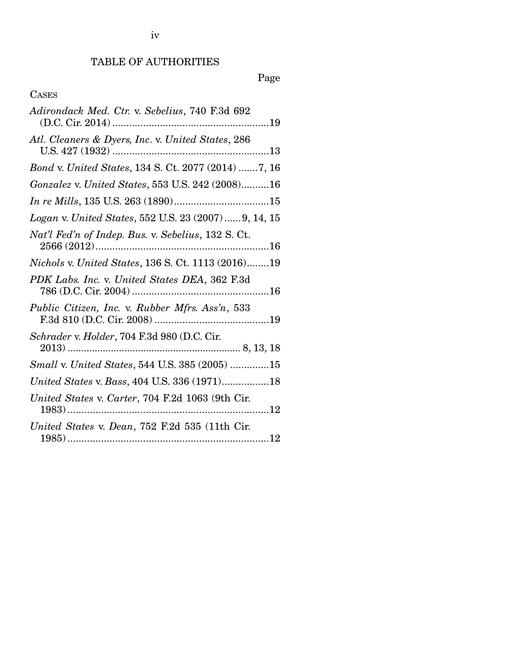# TABLE OF AUTHORITIES

# Page

## CASES

| Adirondack Med. Ctr. v. Sebelius, 740 F.3d 692        |
|-------------------------------------------------------|
| Atl. Cleaners & Dyers, Inc. v. United States, 286     |
| Bond v. United States, 134 S. Ct. 2077 (2014) 7, 16   |
| Gonzalez v. United States, 553 U.S. 242 (2008)16      |
|                                                       |
| Logan v. United States, 552 U.S. 23 (2007)  9, 14, 15 |
| Nat'l Fed'n of Indep. Bus. v. Sebelius, 132 S. Ct.    |
| Nichols v. United States, 136 S. Ct. 1113 (2016)19    |
| PDK Labs. Inc. v. United States DEA, 362 F.3d         |
| Public Citizen, Inc. v. Rubber Mfrs. Ass'n, 533       |
| Schrader v. Holder, 704 F.3d 980 (D.C. Cir.           |
| Small v. United States, 544 U.S. 385 (2005) 15        |
| United States v. Bass, 404 U.S. 336 (1971)18          |
| United States v. Carter, 704 F.2d 1063 (9th Cir.      |
| United States v. Dean, 752 F.2d 535 (11th Cir.        |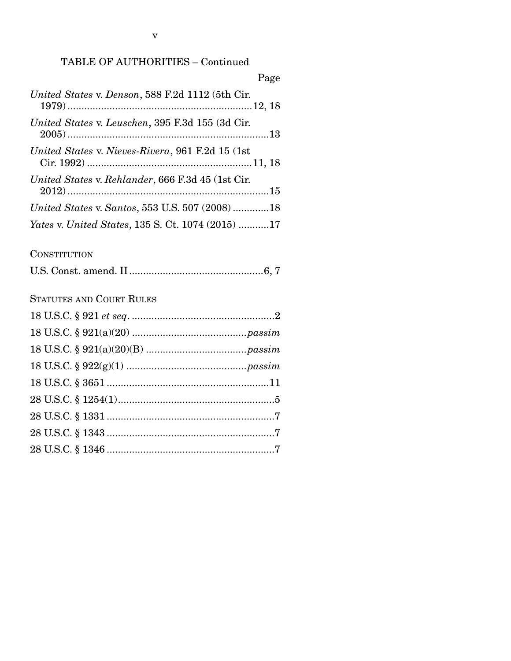# TABLE OF AUTHORITIES – Continued

| Page                                                     |
|----------------------------------------------------------|
| United States v. Denson, 588 F.2d 1112 (5th Cir.         |
| United States v. Leuschen, 395 F.3d 155 (3d Cir.         |
| United States v. Nieves-Rivera, 961 F.2d 15 (1st)        |
| United States v. Rehlander, 666 F.3d 45 (1st Cir.        |
| United States v. Santos, 553 U.S. 507 (2008)18           |
| <i>Yates v. United States, 135 S. Ct. 1074 (2015) 17</i> |

## **CONSTITUTION**

|--|--|--|--|

STATUTES AND COURT RULES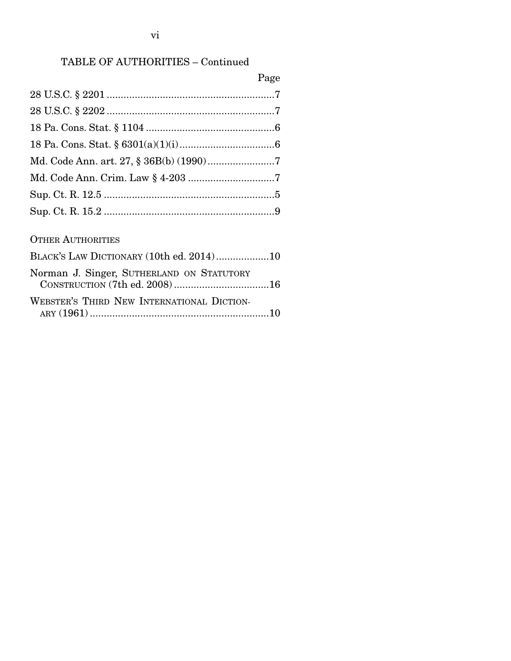# TABLE OF AUTHORITIES – Continued

| Page                                     |
|------------------------------------------|
|                                          |
|                                          |
|                                          |
|                                          |
|                                          |
|                                          |
|                                          |
|                                          |
|                                          |
| <b>OTHER AUTHORITIES</b>                 |
| BLACK'S LAW DICTIONARY (10th ed. 2014)10 |

| Norman J. Singer, SUTHERLAND ON STATUTORY  |  |
|--------------------------------------------|--|
|                                            |  |
| WEBSTER'S THIRD NEW INTERNATIONAL DICTION- |  |
|                                            |  |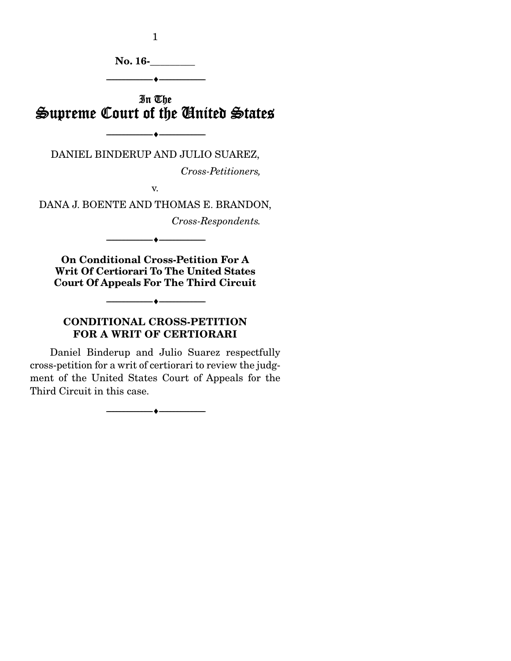1

No. 16-\_\_\_\_\_\_\_\_\_

# In The Supreme Court of the United States

--------------------------------- ---------------------------------

--------------------------------- ---------------------------------

DANIEL BINDERUP AND JULIO SUAREZ,

*Cross-Petitioners,* 

v.

DANA J. BOENTE AND THOMAS E. BRANDON,

*Cross-Respondents.* 

On Conditional Cross-Petition For A Writ Of Certiorari To The United States Court Of Appeals For The Third Circuit

--------------------------------- ---------------------------------

--------------------------------- ---------------------------------

## CONDITIONAL CROSS-PETITION FOR A WRIT OF CERTIORARI

 Daniel Binderup and Julio Suarez respectfully cross-petition for a writ of certiorari to review the judgment of the United States Court of Appeals for the Third Circuit in this case.

--------------------------------- ---------------------------------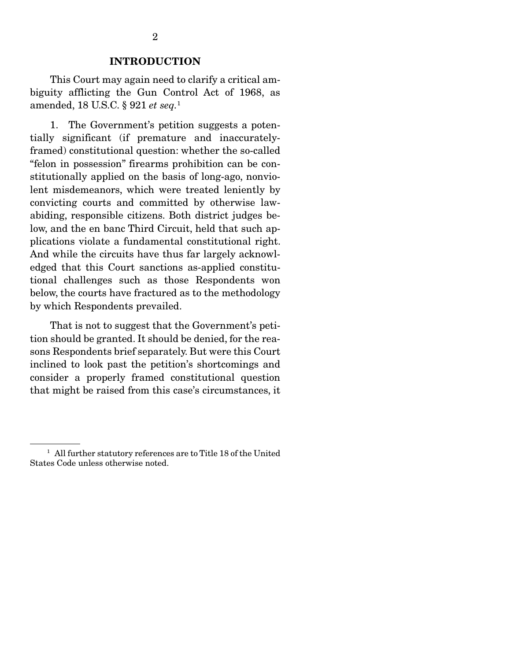#### INTRODUCTION

 This Court may again need to clarify a critical ambiguity afflicting the Gun Control Act of 1968, as amended, 18 U.S.C. § 921 *et seq.*<sup>1</sup>

 1. The Government's petition suggests a potentially significant (if premature and inaccuratelyframed) constitutional question: whether the so-called "felon in possession" firearms prohibition can be constitutionally applied on the basis of long-ago, nonviolent misdemeanors, which were treated leniently by convicting courts and committed by otherwise lawabiding, responsible citizens. Both district judges below, and the en banc Third Circuit, held that such applications violate a fundamental constitutional right. And while the circuits have thus far largely acknowledged that this Court sanctions as-applied constitutional challenges such as those Respondents won below, the courts have fractured as to the methodology by which Respondents prevailed.

 That is not to suggest that the Government's petition should be granted. It should be denied, for the reasons Respondents brief separately. But were this Court inclined to look past the petition's shortcomings and consider a properly framed constitutional question that might be raised from this case's circumstances, it

<sup>&</sup>lt;sup>1</sup> All further statutory references are to Title 18 of the United States Code unless otherwise noted.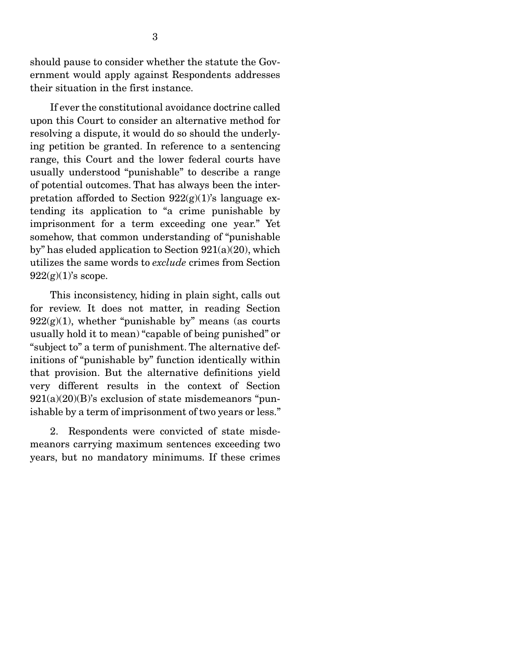should pause to consider whether the statute the Government would apply against Respondents addresses their situation in the first instance.

 If ever the constitutional avoidance doctrine called upon this Court to consider an alternative method for resolving a dispute, it would do so should the underlying petition be granted. In reference to a sentencing range, this Court and the lower federal courts have usually understood "punishable" to describe a range of potential outcomes. That has always been the interpretation afforded to Section  $922(g)(1)$ 's language extending its application to "a crime punishable by imprisonment for a term exceeding one year." Yet somehow, that common understanding of "punishable by" has eluded application to Section 921(a)(20), which utilizes the same words to *exclude* crimes from Section  $922(g)(1)$ 's scope.

 This inconsistency, hiding in plain sight, calls out for review. It does not matter, in reading Section  $922(g)(1)$ , whether "punishable by" means (as courts usually hold it to mean) "capable of being punished" or "subject to" a term of punishment. The alternative definitions of "punishable by" function identically within that provision. But the alternative definitions yield very different results in the context of Section  $921(a)(20)(B)$ 's exclusion of state misdemeanors "punishable by a term of imprisonment of two years or less."

 2. Respondents were convicted of state misdemeanors carrying maximum sentences exceeding two years, but no mandatory minimums. If these crimes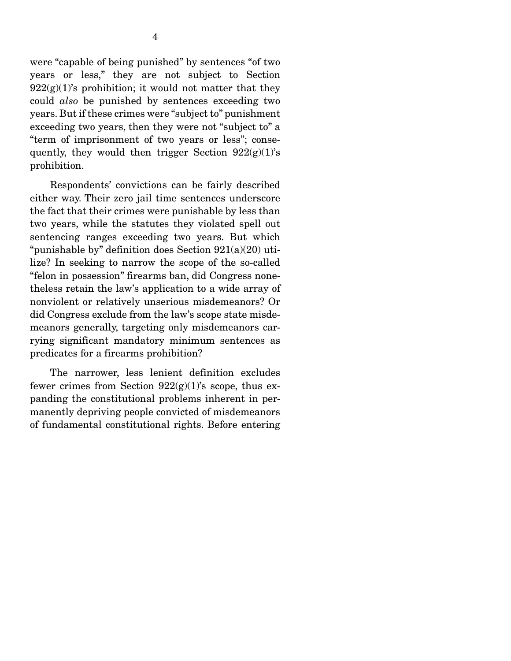were "capable of being punished" by sentences "of two years or less," they are not subject to Section  $922(g)(1)$ 's prohibition; it would not matter that they could *also* be punished by sentences exceeding two years. But if these crimes were "subject to" punishment exceeding two years, then they were not "subject to" a "term of imprisonment of two years or less"; consequently, they would then trigger Section  $922(g)(1)$ 's prohibition.

 Respondents' convictions can be fairly described either way. Their zero jail time sentences underscore the fact that their crimes were punishable by less than two years, while the statutes they violated spell out sentencing ranges exceeding two years. But which "punishable by" definition does Section  $921(a)(20)$  utilize? In seeking to narrow the scope of the so-called "felon in possession" firearms ban, did Congress nonetheless retain the law's application to a wide array of nonviolent or relatively unserious misdemeanors? Or did Congress exclude from the law's scope state misdemeanors generally, targeting only misdemeanors carrying significant mandatory minimum sentences as predicates for a firearms prohibition?

 The narrower, less lenient definition excludes fewer crimes from Section  $922(g)(1)$ 's scope, thus expanding the constitutional problems inherent in permanently depriving people convicted of misdemeanors of fundamental constitutional rights. Before entering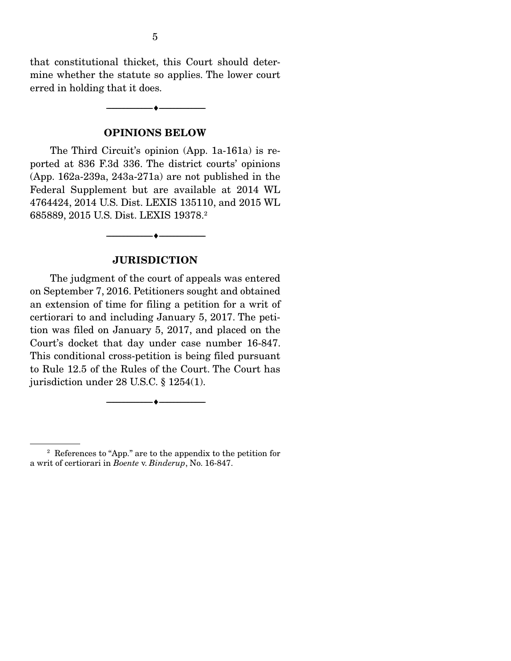that constitutional thicket, this Court should determine whether the statute so applies. The lower court erred in holding that it does.

--------------------------------- ---------------------------------

#### OPINIONS BELOW

 The Third Circuit's opinion (App. 1a-161a) is reported at 836 F.3d 336. The district courts' opinions (App. 162a-239a, 243a-271a) are not published in the Federal Supplement but are available at 2014 WL 4764424, 2014 U.S. Dist. LEXIS 135110, and 2015 WL 685889, 2015 U.S. Dist. LEXIS 19378.2

### **JURISDICTION**

--------------------------------- ---------------------------------

 The judgment of the court of appeals was entered on September 7, 2016. Petitioners sought and obtained an extension of time for filing a petition for a writ of certiorari to and including January 5, 2017. The petition was filed on January 5, 2017, and placed on the Court's docket that day under case number 16-847. This conditional cross-petition is being filed pursuant to Rule 12.5 of the Rules of the Court. The Court has jurisdiction under 28 U.S.C. § 1254(1).

--------------------------------- ---------------------------------

<sup>2</sup> References to "App." are to the appendix to the petition for a writ of certiorari in *Boente* v. *Binderup*, No. 16-847.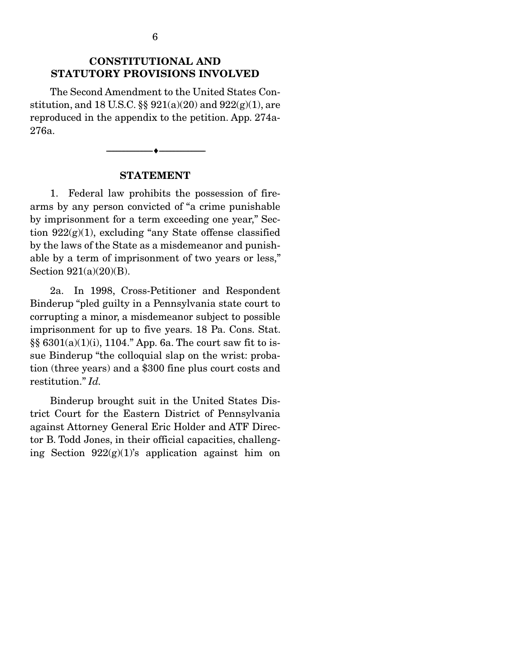## CONSTITUTIONAL AND STATUTORY PROVISIONS INVOLVED

 The Second Amendment to the United States Constitution, and 18 U.S.C.  $\S\S 921(a)(20)$  and  $922(g)(1)$ , are reproduced in the appendix to the petition. App. 274a-276a.

#### STATEMENT

--------------------------------- ---------------------------------

 1. Federal law prohibits the possession of firearms by any person convicted of "a crime punishable by imprisonment for a term exceeding one year," Section  $922(g)(1)$ , excluding "any State offense classified by the laws of the State as a misdemeanor and punishable by a term of imprisonment of two years or less," Section 921(a)(20)(B).

 2a. In 1998, Cross-Petitioner and Respondent Binderup "pled guilty in a Pennsylvania state court to corrupting a minor, a misdemeanor subject to possible imprisonment for up to five years. 18 Pa. Cons. Stat. §§ 6301(a)(1)(i), 1104." App. 6a. The court saw fit to issue Binderup "the colloquial slap on the wrist: probation (three years) and a \$300 fine plus court costs and restitution." *Id.*

 Binderup brought suit in the United States District Court for the Eastern District of Pennsylvania against Attorney General Eric Holder and ATF Director B. Todd Jones, in their official capacities, challenging Section  $922(g)(1)$ 's application against him on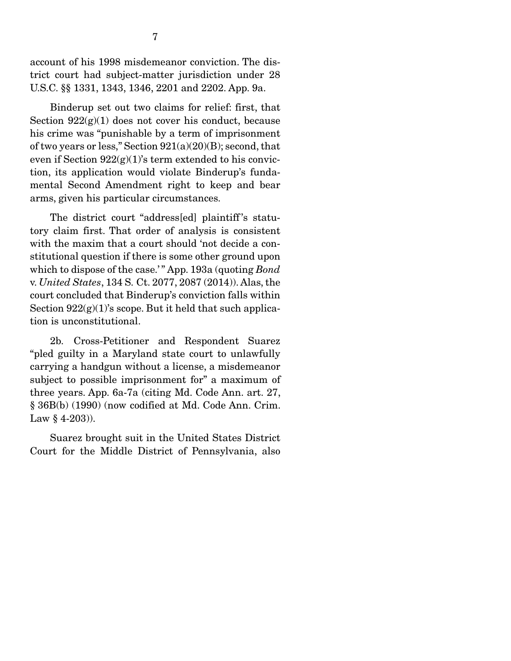account of his 1998 misdemeanor conviction. The district court had subject-matter jurisdiction under 28 U.S.C. §§ 1331, 1343, 1346, 2201 and 2202. App. 9a.

 Binderup set out two claims for relief: first, that Section  $922(g)(1)$  does not cover his conduct, because his crime was "punishable by a term of imprisonment of two years or less," Section  $921(a)(20)(B)$ ; second, that even if Section  $922(g)(1)$ 's term extended to his conviction, its application would violate Binderup's fundamental Second Amendment right to keep and bear arms, given his particular circumstances.

 The district court "address[ed] plaintiff 's statutory claim first. That order of analysis is consistent with the maxim that a court should 'not decide a constitutional question if there is some other ground upon which to dispose of the case." App. 193a (quoting *Bond*) v. *United States*, 134 S. Ct. 2077, 2087 (2014)). Alas, the court concluded that Binderup's conviction falls within Section  $922(g)(1)$ 's scope. But it held that such application is unconstitutional.

 2b. Cross-Petitioner and Respondent Suarez "pled guilty in a Maryland state court to unlawfully carrying a handgun without a license, a misdemeanor subject to possible imprisonment for" a maximum of three years. App. 6a-7a (citing Md. Code Ann. art. 27, § 36B(b) (1990) (now codified at Md. Code Ann. Crim. Law  $§$  4-203)).

 Suarez brought suit in the United States District Court for the Middle District of Pennsylvania, also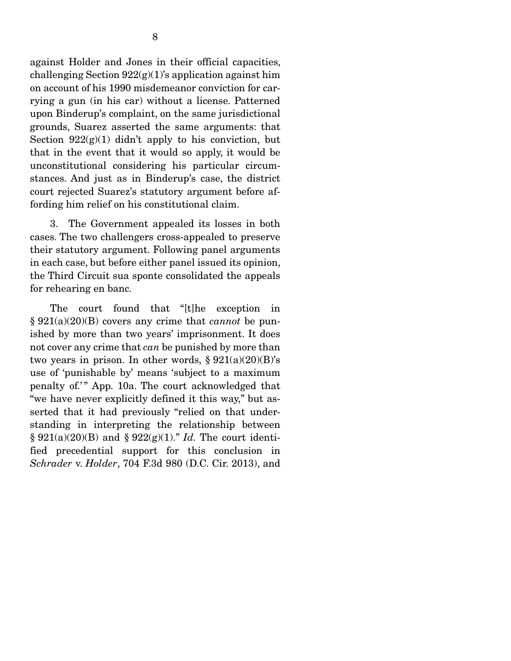against Holder and Jones in their official capacities, challenging Section  $922(g)(1)$ 's application against him on account of his 1990 misdemeanor conviction for carrying a gun (in his car) without a license. Patterned upon Binderup's complaint, on the same jurisdictional grounds, Suarez asserted the same arguments: that Section  $922(g)(1)$  didn't apply to his conviction, but that in the event that it would so apply, it would be unconstitutional considering his particular circumstances. And just as in Binderup's case, the district court rejected Suarez's statutory argument before affording him relief on his constitutional claim.

 3. The Government appealed its losses in both cases. The two challengers cross-appealed to preserve their statutory argument. Following panel arguments in each case, but before either panel issued its opinion, the Third Circuit sua sponte consolidated the appeals for rehearing en banc.

 The court found that "[t]he exception in § 921(a)(20)(B) covers any crime that *cannot* be punished by more than two years' imprisonment. It does not cover any crime that *can* be punished by more than two years in prison. In other words,  $\S 921(a)(20)(B)$ 's use of 'punishable by' means 'subject to a maximum penalty of.'" App. 10a. The court acknowledged that "we have never explicitly defined it this way," but asserted that it had previously "relied on that understanding in interpreting the relationship between § 921(a)(20)(B) and § 922(g)(1)." *Id.* The court identified precedential support for this conclusion in *Schrader* v. *Holder*, 704 F.3d 980 (D.C. Cir. 2013), and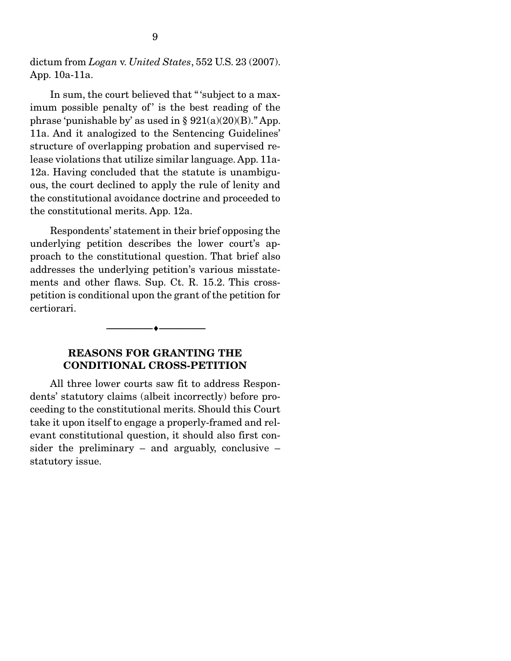dictum from *Logan* v. *United States*, 552 U.S. 23 (2007). App. 10a-11a.

 In sum, the court believed that " 'subject to a maximum possible penalty of' is the best reading of the phrase 'punishable by' as used in  $\S 921(a)(20)(B)$ ." App. 11a. And it analogized to the Sentencing Guidelines' structure of overlapping probation and supervised release violations that utilize similar language. App. 11a-12a. Having concluded that the statute is unambiguous, the court declined to apply the rule of lenity and the constitutional avoidance doctrine and proceeded to the constitutional merits. App. 12a.

 Respondents' statement in their brief opposing the underlying petition describes the lower court's approach to the constitutional question. That brief also addresses the underlying petition's various misstatements and other flaws. Sup. Ct. R. 15.2. This crosspetition is conditional upon the grant of the petition for certiorari.

#### --------------------------------- ---------------------------------

### REASONS FOR GRANTING THE CONDITIONAL CROSS-PETITION

 All three lower courts saw fit to address Respondents' statutory claims (albeit incorrectly) before proceeding to the constitutional merits. Should this Court take it upon itself to engage a properly-framed and relevant constitutional question, it should also first consider the preliminary  $-$  and arguably, conclusive  $$ statutory issue.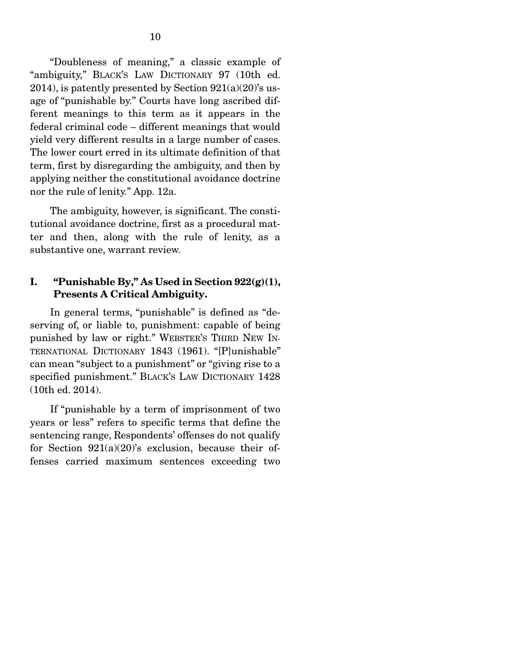"Doubleness of meaning," a classic example of "ambiguity," BLACK'S LAW DICTIONARY 97 (10th ed. 2014), is patently presented by Section  $921(a)(20)$ 's usage of "punishable by." Courts have long ascribed different meanings to this term as it appears in the federal criminal code – different meanings that would yield very different results in a large number of cases. The lower court erred in its ultimate definition of that term, first by disregarding the ambiguity, and then by applying neither the constitutional avoidance doctrine nor the rule of lenity." App. 12a.

 The ambiguity, however, is significant. The constitutional avoidance doctrine, first as a procedural matter and then, along with the rule of lenity, as a substantive one, warrant review.

### I. "Punishable By," As Used in Section  $922(g)(1)$ , Presents A Critical Ambiguity.

 In general terms, "punishable" is defined as "deserving of, or liable to, punishment: capable of being punished by law or right." WEBSTER'S THIRD NEW IN-TERNATIONAL DICTIONARY 1843 (1961). "[P]unishable" can mean "subject to a punishment" or "giving rise to a specified punishment." BLACK'S LAW DICTIONARY 1428 (10th ed. 2014).

 If "punishable by a term of imprisonment of two years or less" refers to specific terms that define the sentencing range, Respondents' offenses do not qualify for Section  $921(a)(20)$ 's exclusion, because their offenses carried maximum sentences exceeding two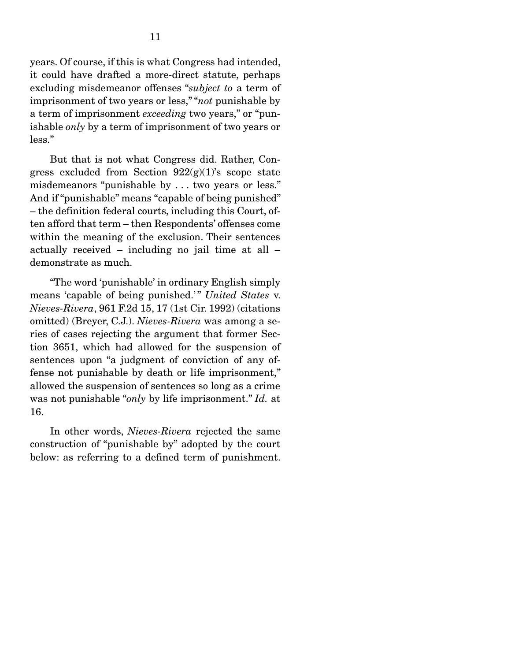years. Of course, if this is what Congress had intended, it could have drafted a more-direct statute, perhaps excluding misdemeanor offenses "*subject to* a term of imprisonment of two years or less," "*not* punishable by a term of imprisonment *exceeding* two years," or "punishable *only* by a term of imprisonment of two years or less."

 But that is not what Congress did. Rather, Congress excluded from Section  $922(g)(1)$ 's scope state misdemeanors "punishable by . . . two years or less." And if "punishable" means "capable of being punished" – the definition federal courts, including this Court, often afford that term – then Respondents' offenses come within the meaning of the exclusion. Their sentences actually received – including no jail time at all – demonstrate as much.

 "The word 'punishable' in ordinary English simply means 'capable of being punished.'" *United States* v. *Nieves-Rivera*, 961 F.2d 15, 17 (1st Cir. 1992) (citations omitted) (Breyer, C.J.). *Nieves-Rivera* was among a series of cases rejecting the argument that former Section 3651, which had allowed for the suspension of sentences upon "a judgment of conviction of any offense not punishable by death or life imprisonment," allowed the suspension of sentences so long as a crime was not punishable "*only* by life imprisonment." *Id.* at 16.

 In other words, *Nieves-Rivera* rejected the same construction of "punishable by" adopted by the court below: as referring to a defined term of punishment.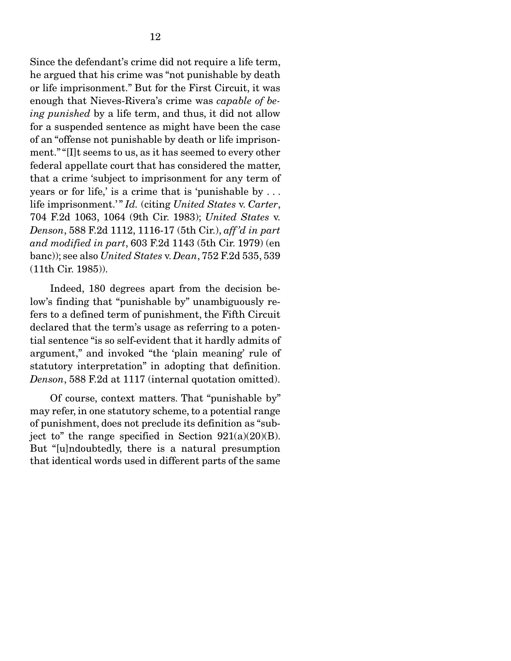Since the defendant's crime did not require a life term, he argued that his crime was "not punishable by death or life imprisonment." But for the First Circuit, it was enough that Nieves-Rivera's crime was *capable of being punished* by a life term, and thus, it did not allow for a suspended sentence as might have been the case of an "offense not punishable by death or life imprisonment." "[I]t seems to us, as it has seemed to every other federal appellate court that has considered the matter, that a crime 'subject to imprisonment for any term of years or for life,' is a crime that is 'punishable by . . . life imprisonment.' " *Id.* (citing *United States* v. *Carter*, 704 F.2d 1063, 1064 (9th Cir. 1983); *United States* v. *Denson*, 588 F.2d 1112, 1116-17 (5th Cir.), *aff 'd in part and modified in part*, 603 F.2d 1143 (5th Cir. 1979) (en banc)); see also *United States* v. *Dean*, 752 F.2d 535, 539 (11th Cir. 1985)).

 Indeed, 180 degrees apart from the decision below's finding that "punishable by" unambiguously refers to a defined term of punishment, the Fifth Circuit declared that the term's usage as referring to a potential sentence "is so self-evident that it hardly admits of argument," and invoked "the 'plain meaning' rule of statutory interpretation" in adopting that definition. *Denson*, 588 F.2d at 1117 (internal quotation omitted).

 Of course, context matters. That "punishable by" may refer, in one statutory scheme, to a potential range of punishment, does not preclude its definition as "subject to" the range specified in Section  $921(a)(20)(B)$ . But "[u]ndoubtedly, there is a natural presumption that identical words used in different parts of the same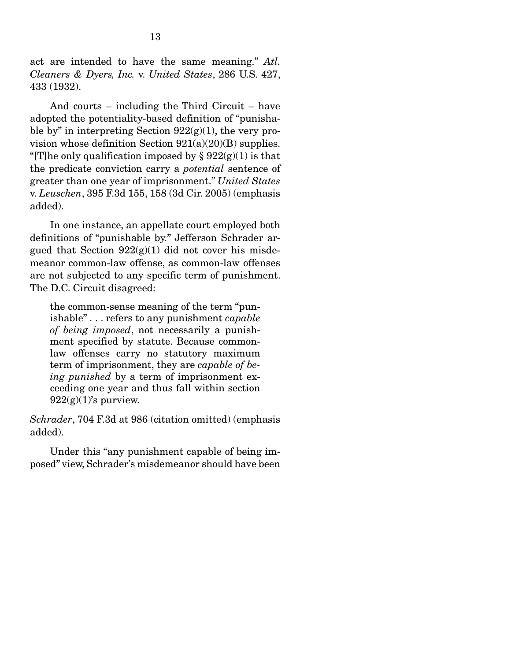act are intended to have the same meaning." *Atl. Cleaners & Dyers, Inc.* v. *United States*, 286 U.S. 427, 433 (1932).

 And courts – including the Third Circuit – have adopted the potentiality-based definition of "punishable by" in interpreting Section  $922(g)(1)$ , the very provision whose definition Section  $921(a)(20)(B)$  supplies. "[T]he only qualification imposed by  $\S 922(g)(1)$  is that the predicate conviction carry a *potential* sentence of greater than one year of imprisonment." *United States*  v. *Leuschen*, 395 F.3d 155, 158 (3d Cir. 2005) (emphasis added).

 In one instance, an appellate court employed both definitions of "punishable by." Jefferson Schrader argued that Section  $922(g)(1)$  did not cover his misdemeanor common-law offense, as common-law offenses are not subjected to any specific term of punishment. The D.C. Circuit disagreed:

the common-sense meaning of the term "punishable" . . . refers to any punishment *capable of being imposed*, not necessarily a punishment specified by statute. Because commonlaw offenses carry no statutory maximum term of imprisonment, they are *capable of being punished* by a term of imprisonment exceeding one year and thus fall within section  $922(g)(1)$ 's purview.

*Schrader*, 704 F.3d at 986 (citation omitted) (emphasis added).

 Under this "any punishment capable of being imposed" view, Schrader's misdemeanor should have been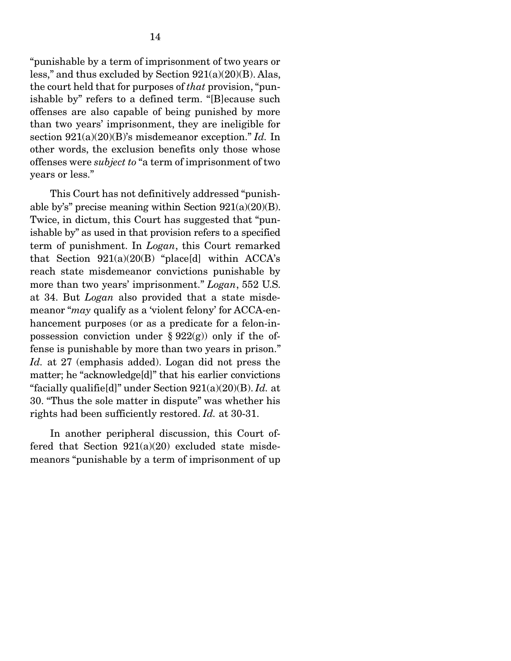"punishable by a term of imprisonment of two years or less," and thus excluded by Section 921(a)(20)(B). Alas, the court held that for purposes of *that* provision, "punishable by" refers to a defined term. "[B]ecause such offenses are also capable of being punished by more than two years' imprisonment, they are ineligible for section 921(a)(20)(B)'s misdemeanor exception." *Id.* In other words, the exclusion benefits only those whose offenses were *subject to* "a term of imprisonment of two years or less."

 This Court has not definitively addressed "punishable by's" precise meaning within Section 921(a)(20)(B). Twice, in dictum, this Court has suggested that "punishable by" as used in that provision refers to a specified term of punishment. In *Logan*, this Court remarked that Section 921(a)(20(B) "place[d] within ACCA's reach state misdemeanor convictions punishable by more than two years' imprisonment." *Logan*, 552 U.S. at 34. But *Logan* also provided that a state misdemeanor "*may* qualify as a 'violent felony' for ACCA-enhancement purposes (or as a predicate for a felon-inpossession conviction under  $\S 922(g)$  only if the offense is punishable by more than two years in prison." *Id.* at 27 (emphasis added). Logan did not press the matter; he "acknowledge[d]" that his earlier convictions "facially qualifie[d]" under Section 921(a)(20)(B). *Id.* at 30. "Thus the sole matter in dispute" was whether his rights had been sufficiently restored. *Id.* at 30-31.

 In another peripheral discussion, this Court offered that Section  $921(a)(20)$  excluded state misdemeanors "punishable by a term of imprisonment of up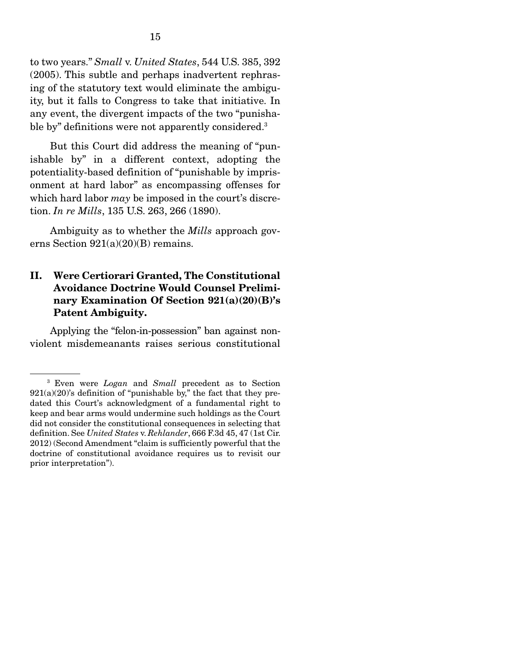to two years." *Small* v. *United States*, 544 U.S. 385, 392 (2005). This subtle and perhaps inadvertent rephrasing of the statutory text would eliminate the ambiguity, but it falls to Congress to take that initiative. In any event, the divergent impacts of the two "punishable by" definitions were not apparently considered.<sup>3</sup>

 But this Court did address the meaning of "punishable by" in a different context, adopting the potentiality-based definition of "punishable by imprisonment at hard labor" as encompassing offenses for which hard labor *may* be imposed in the court's discretion. *In re Mills*, 135 U.S. 263, 266 (1890).

 Ambiguity as to whether the *Mills* approach governs Section 921(a)(20)(B) remains.

## II. Were Certiorari Granted, The Constitutional Avoidance Doctrine Would Counsel Preliminary Examination Of Section 921(a)(20)(B)'s Patent Ambiguity.

 Applying the "felon-in-possession" ban against nonviolent misdemeanants raises serious constitutional

<sup>3</sup> Even were *Logan* and *Small* precedent as to Section  $921(a)(20)$ 's definition of "punishable by," the fact that they predated this Court's acknowledgment of a fundamental right to keep and bear arms would undermine such holdings as the Court did not consider the constitutional consequences in selecting that definition. See *United States* v. *Rehlander*, 666 F.3d 45, 47 (1st Cir. 2012) (Second Amendment "claim is sufficiently powerful that the doctrine of constitutional avoidance requires us to revisit our prior interpretation").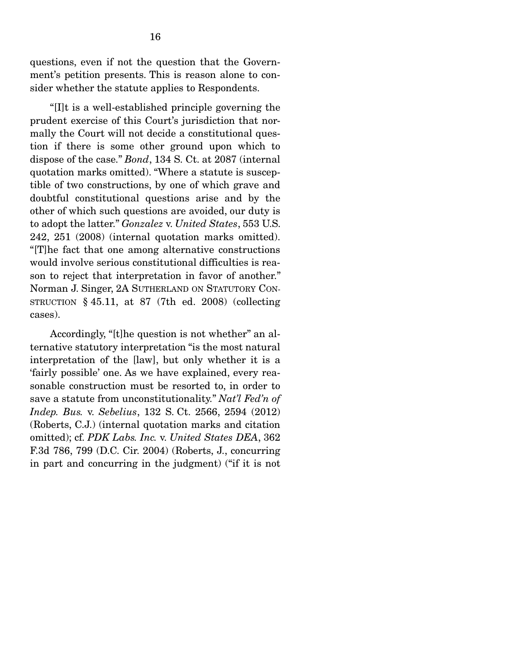questions, even if not the question that the Government's petition presents. This is reason alone to consider whether the statute applies to Respondents.

 "[I]t is a well-established principle governing the prudent exercise of this Court's jurisdiction that normally the Court will not decide a constitutional question if there is some other ground upon which to dispose of the case." *Bond*, 134 S. Ct. at 2087 (internal quotation marks omitted). "Where a statute is susceptible of two constructions, by one of which grave and doubtful constitutional questions arise and by the other of which such questions are avoided, our duty is to adopt the latter." *Gonzalez* v. *United States*, 553 U.S. 242, 251 (2008) (internal quotation marks omitted). "[T]he fact that one among alternative constructions would involve serious constitutional difficulties is reason to reject that interpretation in favor of another." Norman J. Singer, 2A SUTHERLAND ON STATUTORY CON-STRUCTION  $§$  45.11, at 87 (7th ed. 2008) (collecting cases).

 Accordingly, "[t]he question is not whether" an alternative statutory interpretation "is the most natural interpretation of the [law], but only whether it is a 'fairly possible' one. As we have explained, every reasonable construction must be resorted to, in order to save a statute from unconstitutionality." *Nat'l Fed'n of Indep. Bus.* v. *Sebelius*, 132 S. Ct. 2566, 2594 (2012) (Roberts, C.J.) (internal quotation marks and citation omitted); cf. *PDK Labs. Inc.* v. *United States DEA*, 362 F.3d 786, 799 (D.C. Cir. 2004) (Roberts, J., concurring in part and concurring in the judgment) ("if it is not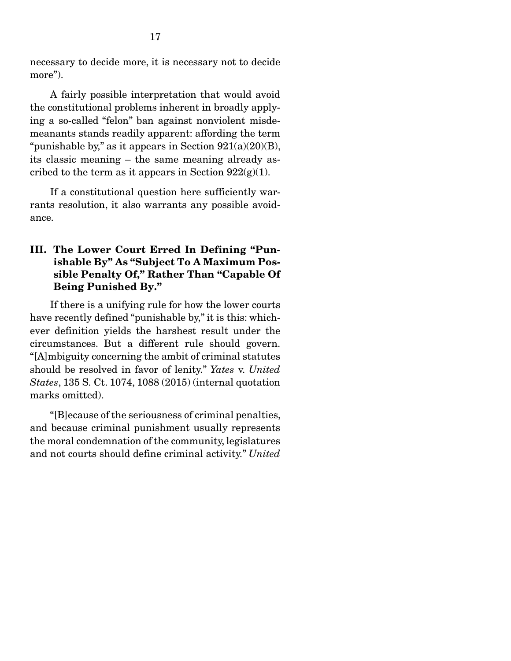necessary to decide more, it is necessary not to decide more").

 A fairly possible interpretation that would avoid the constitutional problems inherent in broadly applying a so-called "felon" ban against nonviolent misdemeanants stands readily apparent: affording the term "punishable by," as it appears in Section  $921(a)(20)(B)$ , its classic meaning – the same meaning already ascribed to the term as it appears in Section  $922(g)(1)$ .

 If a constitutional question here sufficiently warrants resolution, it also warrants any possible avoidance.

## III. The Lower Court Erred In Defining "Punishable By" As "Subject To A Maximum Possible Penalty Of," Rather Than "Capable Of Being Punished By."

 If there is a unifying rule for how the lower courts have recently defined "punishable by," it is this: whichever definition yields the harshest result under the circumstances. But a different rule should govern. "[A]mbiguity concerning the ambit of criminal statutes should be resolved in favor of lenity." *Yates* v. *United States*, 135 S. Ct. 1074, 1088 (2015) (internal quotation marks omitted).

 "[B]ecause of the seriousness of criminal penalties, and because criminal punishment usually represents the moral condemnation of the community, legislatures and not courts should define criminal activity." *United*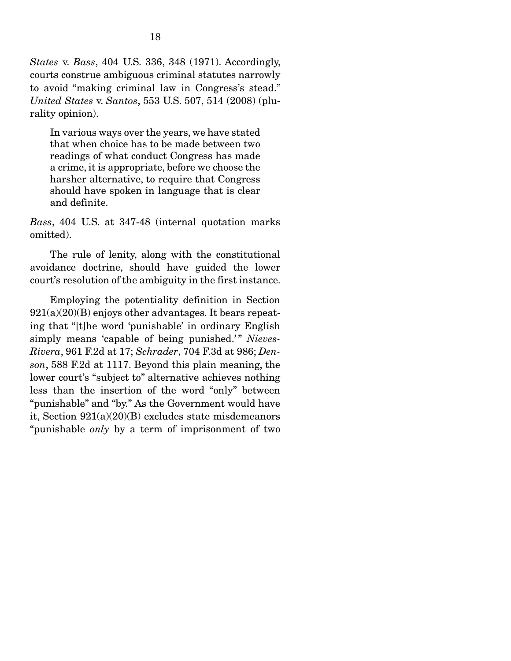*States* v. *Bass*, 404 U.S. 336, 348 (1971). Accordingly, courts construe ambiguous criminal statutes narrowly to avoid "making criminal law in Congress's stead." *United States* v. *Santos*, 553 U.S. 507, 514 (2008) (plurality opinion).

In various ways over the years, we have stated that when choice has to be made between two readings of what conduct Congress has made a crime, it is appropriate, before we choose the harsher alternative, to require that Congress should have spoken in language that is clear and definite.

*Bass*, 404 U.S. at 347-48 (internal quotation marks omitted).

 The rule of lenity, along with the constitutional avoidance doctrine, should have guided the lower court's resolution of the ambiguity in the first instance.

 Employing the potentiality definition in Section  $921(a)(20)(B)$  enjoys other advantages. It bears repeating that "[t]he word 'punishable' in ordinary English simply means 'capable of being punished.'" Nieves-*Rivera*, 961 F.2d at 17; *Schrader*, 704 F.3d at 986; *Denson*, 588 F.2d at 1117. Beyond this plain meaning, the lower court's "subject to" alternative achieves nothing less than the insertion of the word "only" between "punishable" and "by." As the Government would have it, Section 921(a)(20)(B) excludes state misdemeanors "punishable *only* by a term of imprisonment of two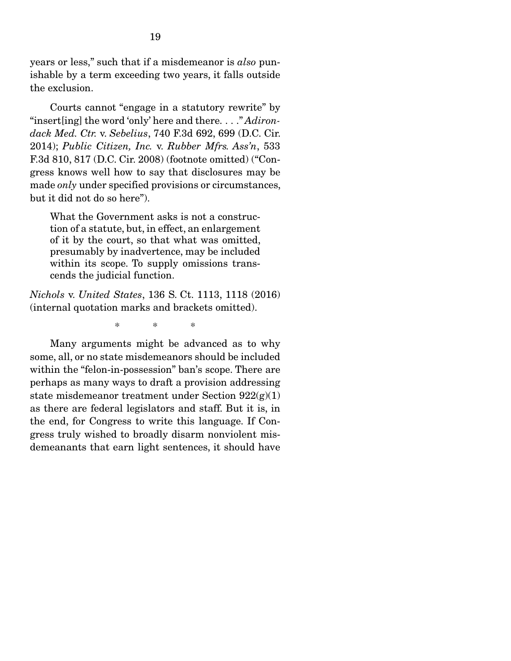years or less," such that if a misdemeanor is *also* punishable by a term exceeding two years, it falls outside the exclusion.

 Courts cannot "engage in a statutory rewrite" by "insert[ing] the word 'only' here and there. . . ." *Adirondack Med. Ctr.* v. *Sebelius*, 740 F.3d 692, 699 (D.C. Cir. 2014); *Public Citizen, Inc.* v. *Rubber Mfrs. Ass'n*, 533 F.3d 810, 817 (D.C. Cir. 2008) (footnote omitted) ("Congress knows well how to say that disclosures may be made *only* under specified provisions or circumstances, but it did not do so here").

What the Government asks is not a construction of a statute, but, in effect, an enlargement of it by the court, so that what was omitted, presumably by inadvertence, may be included within its scope. To supply omissions transcends the judicial function.

*Nichols* v. *United States*, 136 S. Ct. 1113, 1118 (2016) (internal quotation marks and brackets omitted).

\* \* \*

 Many arguments might be advanced as to why some, all, or no state misdemeanors should be included within the "felon-in-possession" ban's scope. There are perhaps as many ways to draft a provision addressing state misdemeanor treatment under Section  $922(g)(1)$ as there are federal legislators and staff. But it is, in the end, for Congress to write this language. If Congress truly wished to broadly disarm nonviolent misdemeanants that earn light sentences, it should have